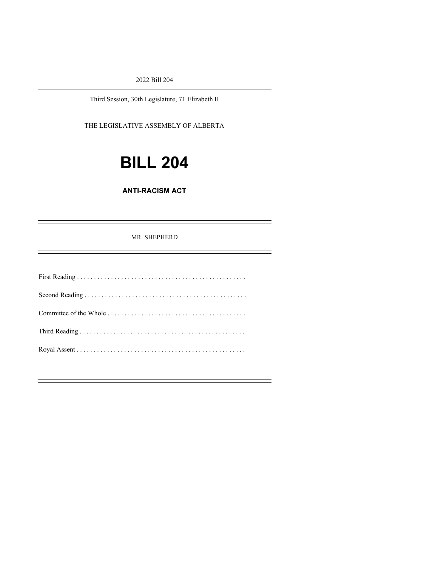2022 Bill 204

Third Session, 30th Legislature, 71 Elizabeth II

THE LEGISLATIVE ASSEMBLY OF ALBERTA

# **BILL 204**

#### **ANTI-RACISM ACT**

#### MR. SHEPHERD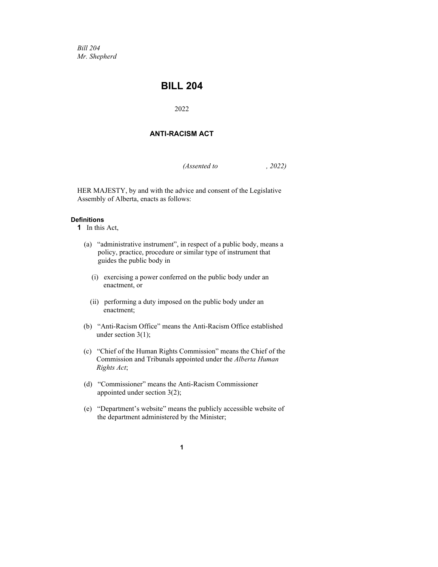*Bill 204 Mr. Shepherd*

### **BILL 204**

2022

#### **ANTI-RACISM ACT**

*(Assented to , 2022)*

HER MAJESTY, by and with the advice and consent of the Legislative Assembly of Alberta, enacts as follows:

#### **Definitions**

**1** In this Act,

- (a) "administrative instrument", in respect of a public body, means a policy, practice, procedure or similar type of instrument that guides the public body in
	- (i) exercising a power conferred on the public body under an enactment, or
	- (ii) performing a duty imposed on the public body under an enactment;
- (b) "Anti-Racism Office" means the Anti-Racism Office established under section 3(1);
- (c) "Chief of the Human Rights Commission" means the Chief of the Commission and Tribunals appointed under the *Alberta Human Rights Act*;
- (d) "Commissioner" means the Anti-Racism Commissioner appointed under section 3(2);
- (e) "Department's website" means the publicly accessible website of the department administered by the Minister;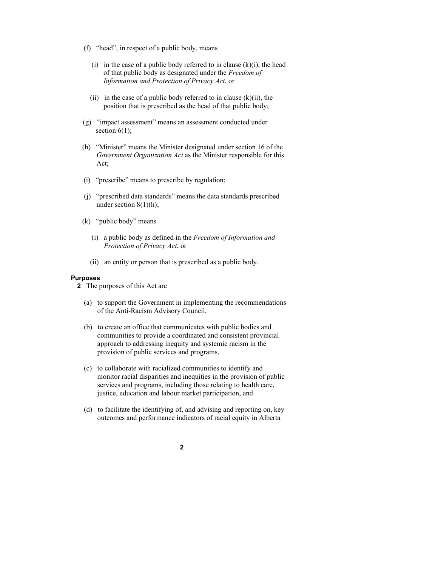- (f) "head", in respect of a public body, means
	- (i) in the case of a public body referred to in clause  $(k)(i)$ , the head of that public body as designated under the *Freedom of Information and Protection of Privacy Act*, or
	- (ii) in the case of a public body referred to in clause  $(k)(ii)$ , the position that is prescribed as the head of that public body;
- (g) "impact assessment" means an assessment conducted under section  $6(1)$ ;
- (h) "Minister" means the Minister designated under section 16 of the *Government Organization Act* as the Minister responsible for this Act;
- (i) "prescribe" means to prescribe by regulation;
- (j) "prescribed data standards" means the data standards prescribed under section  $8(1)(h)$ ;
- (k) "public body" means
	- (i) a public body as defined in the *Freedom of Information and Protection of Privacy Act*, or
	- (ii) an entity or person that is prescribed as a public body.

#### **Purposes**

- **2** The purposes of this Act are
	- (a) to support the Government in implementing the recommendations of the Anti-Racism Advisory Council,
	- (b) to create an office that communicates with public bodies and communities to provide a coordinated and consistent provincial approach to addressing inequity and systemic racism in the provision of public services and programs,
	- (c) to collaborate with racialized communities to identify and monitor racial disparities and inequities in the provision of public services and programs, including those relating to health care, justice, education and labour market participation, and
	- (d) to facilitate the identifying of, and advising and reporting on, key outcomes and performance indicators of racial equity in Alberta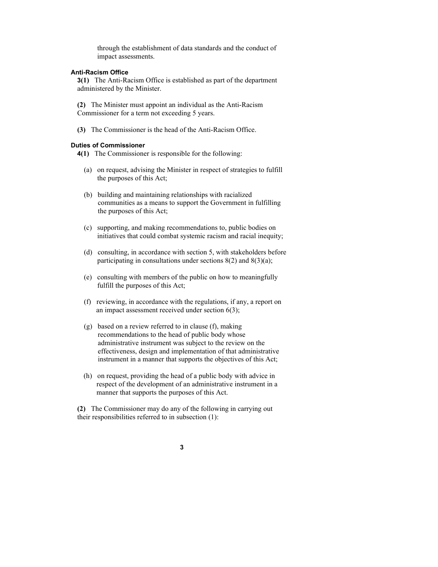through the establishment of data standards and the conduct of impact assessments.

#### **Anti-Racism Office**

**3(1)** The Anti-Racism Office is established as part of the department administered by the Minister.

**(2)** The Minister must appoint an individual as the Anti-Racism Commissioner for a term not exceeding 5 years.

**(3)** The Commissioner is the head of the Anti-Racism Office.

#### **Duties of Commissioner**

**4(1)** The Commissioner is responsible for the following:

- (a) on request, advising the Minister in respect of strategies to fulfill the purposes of this Act;
- (b) building and maintaining relationships with racialized communities as a means to support the Government in fulfilling the purposes of this Act;
- (c) supporting, and making recommendations to, public bodies on initiatives that could combat systemic racism and racial inequity;
- (d) consulting, in accordance with section 5, with stakeholders before participating in consultations under sections  $8(2)$  and  $8(3)(a)$ ;
- (e) consulting with members of the public on how to meaningfully fulfill the purposes of this Act;
- (f) reviewing, in accordance with the regulations, if any, a report on an impact assessment received under section 6(3);
- (g) based on a review referred to in clause (f), making recommendations to the head of public body whose administrative instrument was subject to the review on the effectiveness, design and implementation of that administrative instrument in a manner that supports the objectives of this Act;
- (h) on request, providing the head of a public body with advice in respect of the development of an administrative instrument in a manner that supports the purposes of this Act.

**(2)** The Commissioner may do any of the following in carrying out their responsibilities referred to in subsection (1):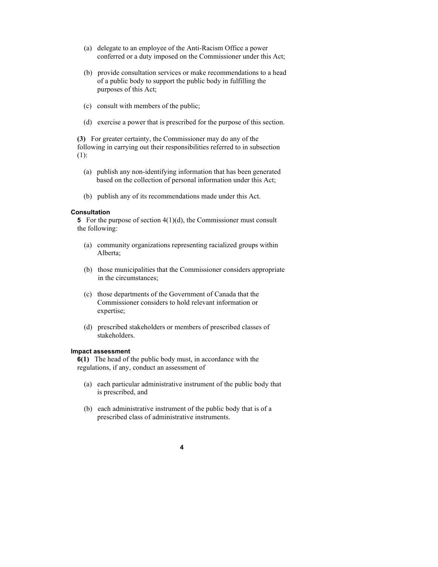- (a) delegate to an employee of the Anti-Racism Office a power conferred or a duty imposed on the Commissioner under this Act;
- (b) provide consultation services or make recommendations to a head of a public body to support the public body in fulfilling the purposes of this Act;
- (c) consult with members of the public;
- (d) exercise a power that is prescribed for the purpose of this section.

**(3)** For greater certainty, the Commissioner may do any of the following in carrying out their responsibilities referred to in subsection (1):

- (a) publish any non-identifying information that has been generated based on the collection of personal information under this Act;
- (b) publish any of its recommendations made under this Act.

#### **Consultation**

**5** For the purpose of section 4(1)(d), the Commissioner must consult the following:

- (a) community organizations representing racialized groups within Alberta;
- (b) those municipalities that the Commissioner considers appropriate in the circumstances;
- (c) those departments of the Government of Canada that the Commissioner considers to hold relevant information or expertise;
- (d) prescribed stakeholders or members of prescribed classes of stakeholders.

#### **Impact assessment**

**6(1)** The head of the public body must, in accordance with the regulations, if any, conduct an assessment of

- (a) each particular administrative instrument of the public body that is prescribed, and
- (b) each administrative instrument of the public body that is of a prescribed class of administrative instruments.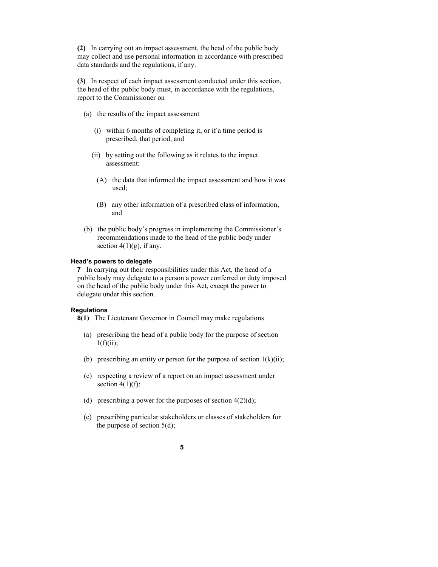**(2)** In carrying out an impact assessment, the head of the public body may collect and use personal information in accordance with prescribed data standards and the regulations, if any.

**(3)** In respect of each impact assessment conducted under this section, the head of the public body must, in accordance with the regulations, report to the Commissioner on

- (a) the results of the impact assessment
	- (i) within 6 months of completing it, or if a time period is prescribed, that period, and
	- (ii) by setting out the following as it relates to the impact assessment:
		- (A) the data that informed the impact assessment and how it was used;
		- (B) any other information of a prescribed class of information, and
- (b) the public body's progress in implementing the Commissioner's recommendations made to the head of the public body under section  $4(1)(g)$ , if any.

#### **Head's powers to delegate**

**7** In carrying out their responsibilities under this Act, the head of a public body may delegate to a person a power conferred or duty imposed on the head of the public body under this Act, except the power to delegate under this section.

#### **Regulations**

**8(1)** The Lieutenant Governor in Council may make regulations

- (a) prescribing the head of a public body for the purpose of section  $1(f)(ii)$ ;
- (b) prescribing an entity or person for the purpose of section  $1(k)(ii)$ ;
- (c) respecting a review of a report on an impact assessment under section  $4(1)(f)$ ;
- (d) prescribing a power for the purposes of section  $4(2)(d)$ ;
- (e) prescribing particular stakeholders or classes of stakeholders for the purpose of section 5(d);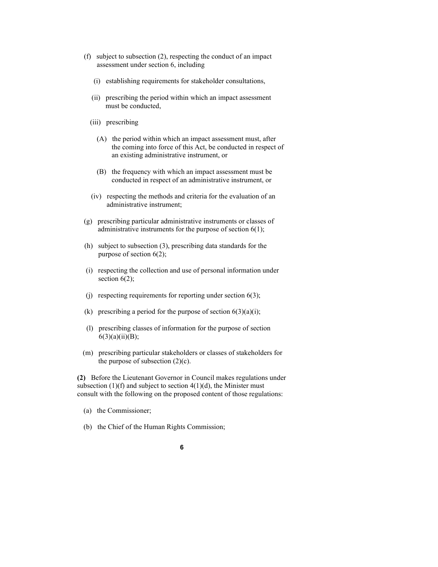- (f) subject to subsection (2), respecting the conduct of an impact assessment under section 6, including
	- (i) establishing requirements for stakeholder consultations,
	- (ii) prescribing the period within which an impact assessment must be conducted,
	- (iii) prescribing
		- (A) the period within which an impact assessment must, after the coming into force of this Act, be conducted in respect of an existing administrative instrument, or
		- (B) the frequency with which an impact assessment must be conducted in respect of an administrative instrument, or
	- (iv) respecting the methods and criteria for the evaluation of an administrative instrument;
- (g) prescribing particular administrative instruments or classes of administrative instruments for the purpose of section 6(1);
- (h) subject to subsection (3), prescribing data standards for the purpose of section 6(2);
- (i) respecting the collection and use of personal information under section  $6(2)$ ;
- (i) respecting requirements for reporting under section  $6(3)$ ;
- (k) prescribing a period for the purpose of section  $6(3)(a)(i)$ ;
- (l) prescribing classes of information for the purpose of section  $6(3)(a)(ii)(B);$
- (m) prescribing particular stakeholders or classes of stakeholders for the purpose of subsection  $(2)(c)$ .

**(2)** Before the Lieutenant Governor in Council makes regulations under subsection  $(1)(f)$  and subject to section  $4(1)(d)$ , the Minister must consult with the following on the proposed content of those regulations:

- (a) the Commissioner;
- (b) the Chief of the Human Rights Commission;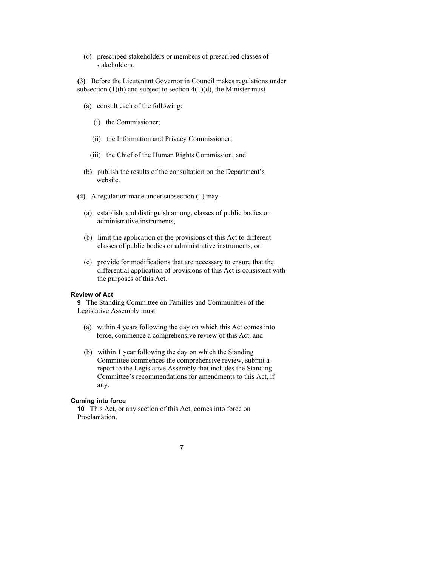(c) prescribed stakeholders or members of prescribed classes of stakeholders.

**(3)** Before the Lieutenant Governor in Council makes regulations under subsection  $(1)(h)$  and subject to section  $4(1)(d)$ , the Minister must

- (a) consult each of the following:
	- (i) the Commissioner;
	- (ii) the Information and Privacy Commissioner;
	- (iii) the Chief of the Human Rights Commission, and
- (b) publish the results of the consultation on the Department's website.
- **(4)** A regulation made under subsection (1) may
	- (a) establish, and distinguish among, classes of public bodies or administrative instruments,
	- (b) limit the application of the provisions of this Act to different classes of public bodies or administrative instruments, or
	- (c) provide for modifications that are necessary to ensure that the differential application of provisions of this Act is consistent with the purposes of this Act.

#### **Review of Act**

**9** The Standing Committee on Families and Communities of the Legislative Assembly must

- (a) within 4 years following the day on which this Act comes into force, commence a comprehensive review of this Act, and
- (b) within 1 year following the day on which the Standing Committee commences the comprehensive review, submit a report to the Legislative Assembly that includes the Standing Committee's recommendations for amendments to this Act, if any.

#### **Coming into force**

**10** This Act, or any section of this Act, comes into force on Proclamation.